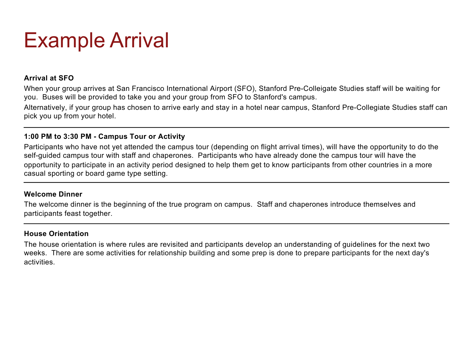## Example Arrival

#### **Arrival at SFO**

When your group arrives at San Francisco International Airport (SFO), Stanford Pre-Colleigate Studies staff will be waiting for you. Buses will be provided to take you and your group from SFO to Stanford's campus.

Alternatively, if your group has chosen to arrive early and stay in a hotel near campus, Stanford Pre-Collegiate Studies staff can pick you up from your hotel.

#### **1:00 PM to 3:30 PM - Campus Tour or Activity**

Participants who have not yet attended the campus tour (depending on flight arrival times), will have the opportunity to do the self-guided campus tour with staff and chaperones. Participants who have already done the campus tour will have the opportunity to participate in an activity period designed to help them get to know participants from other countries in a more casual sporting or board game type setting.

#### **Welcome Dinner**

The welcome dinner is the beginning of the true program on campus. Staff and chaperones introduce themselves and participants feast together.

#### **House Orientation**

The house orientation is where rules are revisited and participants develop an understanding of guidelines for the next two weeks. There are some activities for relationship building and some prep is done to prepare participants for the next day's activities.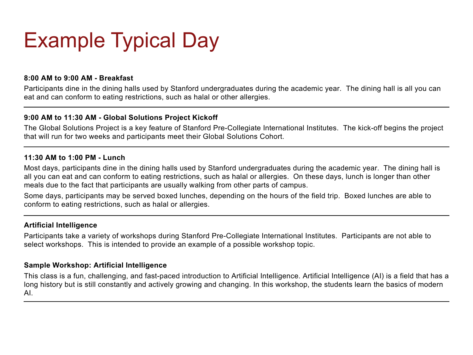# Example Typical Day

#### **8:00 AM to 9:00 AM - Breakfast**

Participants dine in the dining halls used by Stanford undergraduates during the academic year. The dining hall is all you can eat and can conform to eating restrictions, such as halal or other allergies.

#### **9:00 AM to 11:30 AM - Global Solutions Project Kickoff**

The Global Solutions Project is a key feature of Stanford Pre-Collegiate International Institutes. The kick-off begins the project that will run for two weeks and participants meet their Global Solutions Cohort.

#### **11:30 AM to 1:00 PM - Lunch**

Most days, participants dine in the dining halls used by Stanford undergraduates during the academic year. The dining hall is all you can eat and can conform to eating restrictions, such as halal or allergies. On these days, lunch is longer than other meals due to the fact that participants are usually walking from other parts of campus.

Some days, participants may be served boxed lunches, depending on the hours of the field trip. Boxed lunches are able to conform to eating restrictions, such as halal or allergies.

#### **Artificial Intelligence**

Participants take a variety of workshops during Stanford Pre-Collegiate International Institutes. Participants are not able to select workshops. This is intended to provide an example of a possible workshop topic.

#### **Sample Workshop: Artificial Intelligence**

This class is a fun, challenging, and fast-paced introduction to Artificial Intelligence. Artificial Intelligence (AI) is a field that has a long history but is still constantly and actively growing and changing. In this workshop, the students learn the basics of modern AI.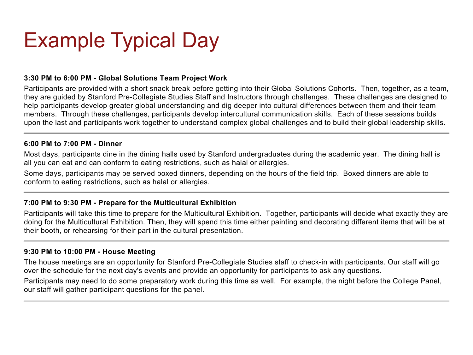# Example Typical Day

#### **3:30 PM to 6:00 PM - Global Solutions Team Project Work**

Participants are provided with a short snack break before getting into their Global Solutions Cohorts. Then, together, as a team, they are guided by Stanford Pre-Collegiate Studies Staff and Instructors through challenges. These challenges are designed to help participants develop greater global understanding and dig deeper into cultural differences between them and their team members. Through these challenges, participants develop intercultural communication skills. Each of these sessions builds upon the last and participants work together to understand complex global challenges and to build their global leadership skills.

#### **6:00 PM to 7:00 PM - Dinner**

Most days, participants dine in the dining halls used by Stanford undergraduates during the academic year. The dining hall is all you can eat and can conform to eating restrictions, such as halal or allergies.

Some days, participants may be served boxed dinners, depending on the hours of the field trip. Boxed dinners are able to conform to eating restrictions, such as halal or allergies.

#### **7:00 PM to 9:30 PM - Prepare for the Multicultural Exhibition**

Participants will take this time to prepare for the Multicultural Exhibition. Together, participants will decide what exactly they are doing for the Multicultural Exhibition. Then, they will spend this time either painting and decorating different items that will be at their booth, or rehearsing for their part in the cultural presentation.

#### **9:30 PM to 10:00 PM - House Meeting**

The house meetings are an opportunity for Stanford Pre-Collegiate Studies staff to check-in with participants. Our staff will go over the schedule for the next day's events and provide an opportunity for participants to ask any questions.

Participants may need to do some preparatory work during this time as well. For example, the night before the College Panel, our staff will gather participant questions for the panel.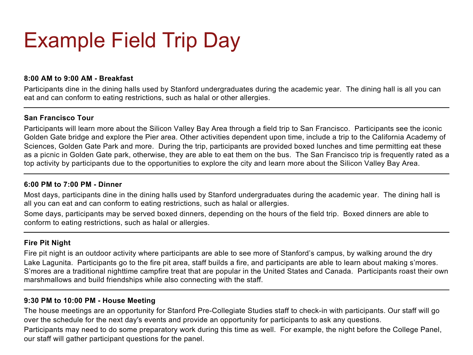# Example Field Trip Day

#### **8:00 AM to 9:00 AM - Breakfast**

Participants dine in the dining halls used by Stanford undergraduates during the academic year. The dining hall is all you can eat and can conform to eating restrictions, such as halal or other allergies.

#### **San Francisco Tour**

Participants will learn more about the Silicon Valley Bay Area through a field trip to San Francisco. Participants see the iconic Golden Gate bridge and explore the Pier area. Other activities dependent upon time, include a trip to the California Academy of Sciences, Golden Gate Park and more. During the trip, participants are provided boxed lunches and time permitting eat these as a picnic in Golden Gate park, otherwise, they are able to eat them on the bus. The San Francisco trip is frequently rated as a top activity by participants due to the opportunities to explore the city and learn more about the Silicon Valley Bay Area.

#### **6:00 PM to 7:00 PM - Dinner**

Most days, participants dine in the dining halls used by Stanford undergraduates during the academic year. The dining hall is all you can eat and can conform to eating restrictions, such as halal or allergies.

Some days, participants may be served boxed dinners, depending on the hours of the field trip. Boxed dinners are able to conform to eating restrictions, such as halal or allergies.

#### **Fire Pit Night**

Fire pit night is an outdoor activity where participants are able to see more of Stanford's campus, by walking around the dry Lake Lagunita. Participants go to the fire pit area, staff builds a fire, and participants are able to learn about making s'mores. S'mores are a traditional nighttime campfire treat that are popular in the United States and Canada. Participants roast their own marshmallows and build friendships while also connecting with the staff.

#### **9:30 PM to 10:00 PM - House Meeting**

The house meetings are an opportunity for Stanford Pre-Collegiate Studies staff to check-in with participants. Our staff will go over the schedule for the next day's events and provide an opportunity for participants to ask any questions.

Participants may need to do some preparatory work during this time as well. For example, the night before the College Panel, our staff will gather participant questions for the panel.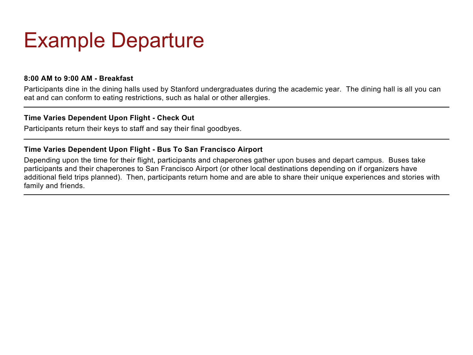## Example Departure

#### **8:00 AM to 9:00 AM - Breakfast**

Participants dine in the dining halls used by Stanford undergraduates during the academic year. The dining hall is all you can eat and can conform to eating restrictions, such as halal or other allergies.

#### **Time Varies Dependent Upon Flight - Check Out**

Participants return their keys to staff and say their final goodbyes.

#### **Time Varies Dependent Upon Flight - Bus To San Francisco Airport**

Depending upon the time for their flight, participants and chaperones gather upon buses and depart campus. Buses take participants and their chaperones to San Francisco Airport (or other local destinations depending on if organizers have additional field trips planned). Then, participants return home and are able to share their unique experiences and stories with family and friends.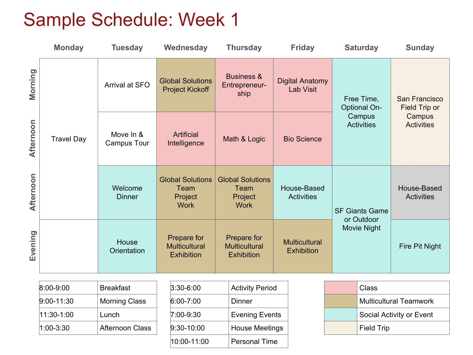### Sample Schedule: Week 1

|           | <b>Monday</b>     | <b>Tuesday</b>           | Wednesday                                                 | <b>Thursday</b>                                           | <b>Friday</b>                             | <b>Saturday</b>                   | <b>Sunday</b>                      |
|-----------|-------------------|--------------------------|-----------------------------------------------------------|-----------------------------------------------------------|-------------------------------------------|-----------------------------------|------------------------------------|
| Morning   |                   | Arrival at SFO           | <b>Global Solutions</b><br><b>Project Kickoff</b>         | <b>Business &amp;</b><br>Entrepreneur-<br>ship            | <b>Digital Anatomy</b><br>Lab Visit       | Free Time,<br><b>Optional On-</b> | San Francisco<br>Field Trip or     |
| Afternoon | <b>Travel Day</b> | Move In &<br>Campus Tour | Artificial<br>Intelligence                                | Math & Logic                                              | <b>Bio Science</b>                        | Campus<br><b>Activities</b>       | <b>Campus</b><br><b>Activities</b> |
| Afternoon |                   | Welcome<br><b>Dinner</b> | <b>Global Solutions</b><br>Team<br>Project<br><b>Work</b> | <b>Global Solutions</b><br>Team<br>Project<br><b>Work</b> | House-Based<br><b>Activities</b>          | <b>SF Giants Game</b>             | House-Based<br><b>Activities</b>   |
| Evening   |                   | House<br>Orientation     | Prepare for<br><b>Multicultural</b><br><b>Exhibition</b>  | Prepare for<br><b>Multicultural</b><br><b>Exhibition</b>  | <b>Multicultural</b><br><b>Exhibition</b> | or Outdoor<br><b>Movie Night</b>  | Fire Pit Night                     |

| $8:00 - 9:00$  | <b>Breakfast</b>       |
|----------------|------------------------|
| $9:00 - 11:30$ | <b>Morning Class</b>   |
| 11:30-1:00     | Lunch                  |
| 1:00-3:30      | <b>Afternoon Class</b> |

| <b>Activity Period</b> |
|------------------------|
| Dinner                 |
| <b>Evening Events</b>  |
| <b>House Meetings</b>  |
| <b>Personal Time</b>   |
|                        |

| Class                         |  |
|-------------------------------|--|
| <b>Multicultural Teamwork</b> |  |
| Social Activity or Event      |  |
| <b>Field Trip</b>             |  |